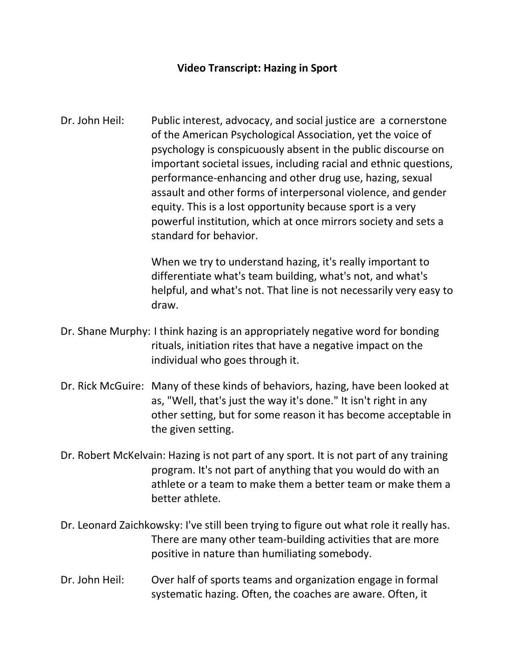## **Video Transcript: Hazing in Sport**

Dr. John Heil: Public interest, advocacy, and social justice are a cornerstone of the American Psychological Association, yet the voice of psychology is conspicuously absent in the public discourse on important societal issues, including racial and ethnic questions, performance-enhancing and other drug use, hazing, sexual assault and other forms of interpersonal violence, and gender equity. This is a lost opportunity because sport is a very powerful institution, which at once mirrors society and sets a standard for behavior.

> When we try to understand hazing, it's really important to differentiate what's team building, what's not, and what's helpful, and what's not. That line is not necessarily very easy to draw.

- Dr. Shane Murphy: I think hazing is an appropriately negative word for bonding rituals, initiation rites that have a negative impact on the individual who goes through it.
- Dr. Rick McGuire: Many of these kinds of behaviors, hazing, have been looked at as, "Well, that's just the way it's done." It isn't right in any other setting, but for some reason it has become acceptable in the given setting.
- Dr. Robert McKelvain: Hazing is not part of any sport. It is not part of any training program. It's not part of anything that you would do with an athlete or a team to make them a better team or make them a better athlete.
- Dr. Leonard Zaichkowsky: I've still been trying to figure out what role it really has. There are many other team-building activities that are more positive in nature than humiliating somebody.
- Dr. John Heil: Over half of sports teams and organization engage in formal systematic hazing. Often, the coaches are aware. Often, it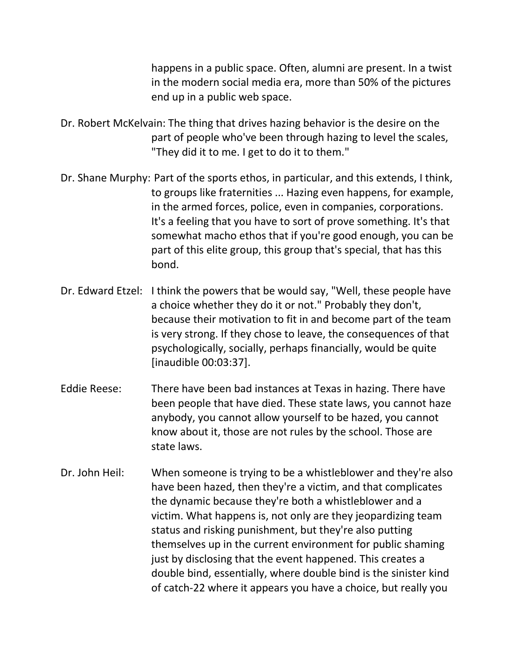happens in a public space. Often, alumni are present. In a twist in the modern social media era, more than 50% of the pictures end up in a public web space.

- Dr. Robert McKelvain: The thing that drives hazing behavior is the desire on the part of people who've been through hazing to level the scales, "They did it to me. I get to do it to them."
- Dr. Shane Murphy: Part of the sports ethos, in particular, and this extends, I think, to groups like fraternities ... Hazing even happens, for example, in the armed forces, police, even in companies, corporations. It's a feeling that you have to sort of prove something. It's that somewhat macho ethos that if you're good enough, you can be part of this elite group, this group that's special, that has this bond.
- Dr. Edward Etzel: I think the powers that be would say, "Well, these people have a choice whether they do it or not." Probably they don't, because their motivation to fit in and become part of the team is very strong. If they chose to leave, the consequences of that psychologically, socially, perhaps financially, would be quite [inaudible 00:03:37].
- Eddie Reese: There have been bad instances at Texas in hazing. There have been people that have died. These state laws, you cannot haze anybody, you cannot allow yourself to be hazed, you cannot know about it, those are not rules by the school. Those are state laws.
- Dr. John Heil: When someone is trying to be a whistleblower and they're also have been hazed, then they're a victim, and that complicates the dynamic because they're both a whistleblower and a victim. What happens is, not only are they jeopardizing team status and risking punishment, but they're also putting themselves up in the current environment for public shaming just by disclosing that the event happened. This creates a double bind, essentially, where double bind is the sinister kind of catch-22 where it appears you have a choice, but really you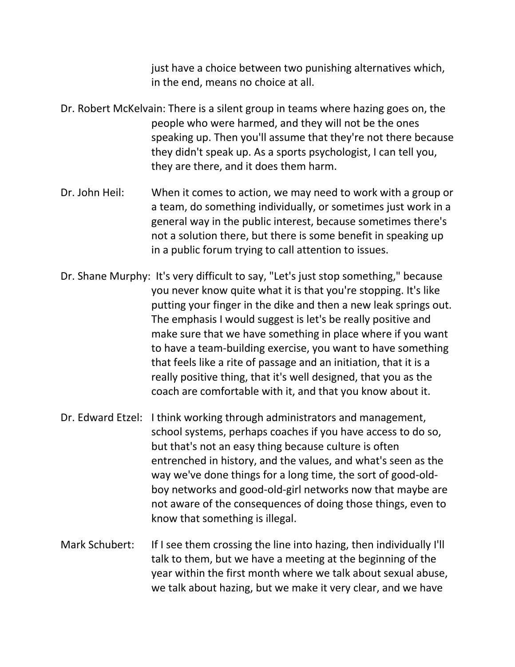just have a choice between two punishing alternatives which, in the end, means no choice at all.

- Dr. Robert McKelvain: There is a silent group in teams where hazing goes on, the people who were harmed, and they will not be the ones speaking up. Then you'll assume that they're not there because they didn't speak up. As a sports psychologist, I can tell you, they are there, and it does them harm.
- Dr. John Heil: When it comes to action, we may need to work with a group or a team, do something individually, or sometimes just work in a general way in the public interest, because sometimes there's not a solution there, but there is some benefit in speaking up in a public forum trying to call attention to issues.
- Dr. Shane Murphy: It's very difficult to say, "Let's just stop something," because you never know quite what it is that you're stopping. It's like putting your finger in the dike and then a new leak springs out. The emphasis I would suggest is let's be really positive and make sure that we have something in place where if you want to have a team-building exercise, you want to have something that feels like a rite of passage and an initiation, that it is a really positive thing, that it's well designed, that you as the coach are comfortable with it, and that you know about it.
- Dr. Edward Etzel: I think working through administrators and management, school systems, perhaps coaches if you have access to do so, but that's not an easy thing because culture is often entrenched in history, and the values, and what's seen as the way we've done things for a long time, the sort of good-oldboy networks and good-old-girl networks now that maybe are not aware of the consequences of doing those things, even to know that something is illegal.
- Mark Schubert: If I see them crossing the line into hazing, then individually I'll talk to them, but we have a meeting at the beginning of the year within the first month where we talk about sexual abuse, we talk about hazing, but we make it very clear, and we have